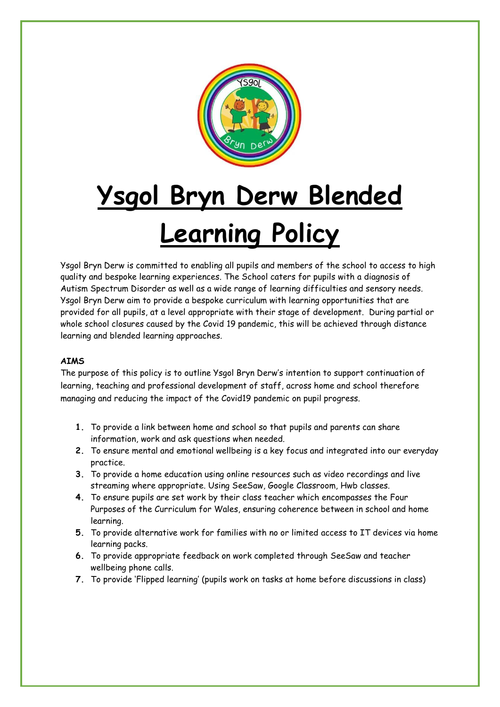

# **Ysgol Bryn Derw Blended Learning Policy**

Ysgol Bryn Derw is committed to enabling all pupils and members of the school to access to high quality and bespoke learning experiences. The School caters for pupils with a diagnosis of Autism Spectrum Disorder as well as a wide range of learning difficulties and sensory needs. Ysgol Bryn Derw aim to provide a bespoke curriculum with learning opportunities that are provided for all pupils, at a level appropriate with their stage of development. During partial or whole school closures caused by the Covid 19 pandemic, this will be achieved through distance learning and blended learning approaches.

#### **AIMS**

The purpose of this policy is to outline Ysgol Bryn Derw's intention to support continuation of learning, teaching and professional development of staff, across home and school therefore managing and reducing the impact of the Covid19 pandemic on pupil progress.

- **1.** To provide a link between home and school so that pupils and parents can share information, work and ask questions when needed.
- **2.** To ensure mental and emotional wellbeing is a key focus and integrated into our everyday practice.
- **3.** To provide a home education using online resources such as video recordings and live streaming where appropriate. Using SeeSaw, Google Classroom, Hwb classes.
- **4.** To ensure pupils are set work by their class teacher which encompasses the Four Purposes of the Curriculum for Wales, ensuring coherence between in school and home learning.
- **5.** To provide alternative work for families with no or limited access to IT devices via home learning packs.
- **6.** To provide appropriate feedback on work completed through SeeSaw and teacher wellbeing phone calls.
- **7.** To provide 'Flipped learning' (pupils work on tasks at home before discussions in class)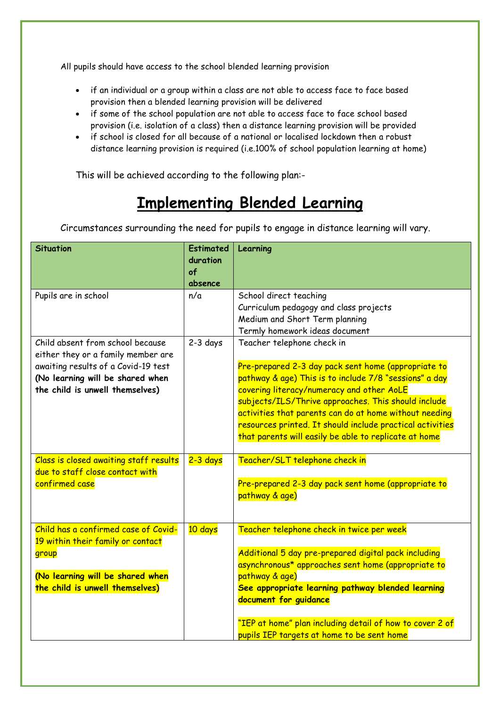All pupils should have access to the school blended learning provision

- if an individual or a group within a class are not able to access face to face based provision then a blended learning provision will be delivered
- if some of the school population are not able to access face to face school based provision (i.e. isolation of a class) then a distance learning provision will be provided
- if school is closed for all because of a national or localised lockdown then a robust distance learning provision is required (i.e.100% of school population learning at home)

This will be achieved according to the following plan:-

## **Implementing Blended Learning**

Circumstances surrounding the need for pupils to engage in distance learning will vary.

| <b>Situation</b>                                                                                                                                                                     | <b>Estimated</b><br>duration<br>of<br>absence | Learning                                                                                                                                                                                                                                                                                                                                                                                                                        |
|--------------------------------------------------------------------------------------------------------------------------------------------------------------------------------------|-----------------------------------------------|---------------------------------------------------------------------------------------------------------------------------------------------------------------------------------------------------------------------------------------------------------------------------------------------------------------------------------------------------------------------------------------------------------------------------------|
| Pupils are in school                                                                                                                                                                 | n/a                                           | School direct teaching<br>Curriculum pedagogy and class projects<br>Medium and Short Term planning<br>Termly homework ideas document                                                                                                                                                                                                                                                                                            |
| Child absent from school because<br>either they or a family member are<br>awaiting results of a Covid-19 test<br>(No learning will be shared when<br>the child is unwell themselves) | $2-3$ days                                    | Teacher telephone check in<br>Pre-prepared 2-3 day pack sent home (appropriate to<br>pathway & age) This is to include 7/8 "sessions" a day<br>covering literacy/numeracy and other AoLE<br>subjects/ILS/Thrive approaches. This should include<br>activities that parents can do at home without needing<br>resources printed. It should include practical activities<br>that parents will easily be able to replicate at home |
| Class is closed awaiting staff results<br>due to staff close contact with<br>confirmed case                                                                                          | $2 - 3$ days                                  | Teacher/SLT telephone check in<br>Pre-prepared 2-3 day pack sent home (appropriate to<br>pathway & age)                                                                                                                                                                                                                                                                                                                         |
| Child has a confirmed case of Covid-<br>19 within their family or contact<br>group<br>(No learning will be shared when<br>the child is unwell themselves)                            | 10 days                                       | Teacher telephone check in twice per week<br>Additional 5 day pre-prepared digital pack including<br>asynchronous* approaches sent home (appropriate to<br>pathway & age)<br>See appropriate learning pathway blended learning<br>document for guidance<br>"IEP at home" plan including detail of how to cover 2 of<br>pupils IEP targets at home to be sent home                                                               |